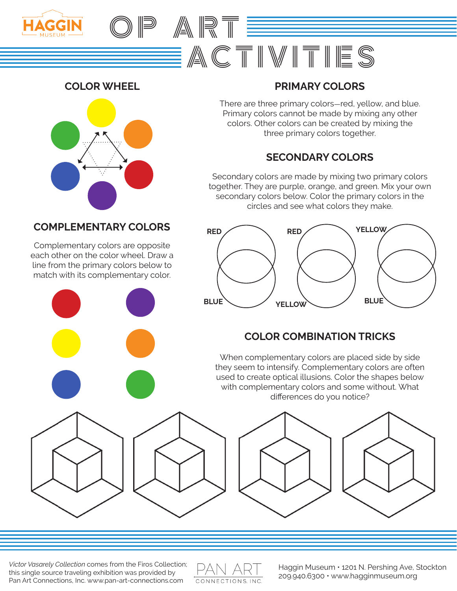



# **COLOR WHEEL PRIMARY COLORS**

There are three primary colors-red, yellow, and blue. Primary colors cannot be made by mixing any other colors. Other colors can be created by mixing the three primary colors together.

# **SECONDARY COLORS**

Secondary colors are made by mixing two primary colors together. They are purple, orange, and green. Mix your own secondary colors below. Color the primary colors in the circles and see what colors they make.

### **COMPLEMENTARY COLORS**

Complementary colors are opposite each other on the color wheel. Draw a line from the primary colors below to match with its complementary color.



# **COLOR COMBINATION TRICKS**

When complementary colors are placed side by side they seem to intensify. Complementary colors are often used to create optical illusions. Color the shapes below with complementary colors and some without. What differences do you notice?



*Victor Vasarely Collection* comes from the Firos Collection; this single source traveling exhibition was provided by Pan Art Connections, Inc. www.pan-art-connections.com



Haggin Museum • 1201 N. Pershing Ave, Stockton 209.940.6300 • www.hagginmuseum.org